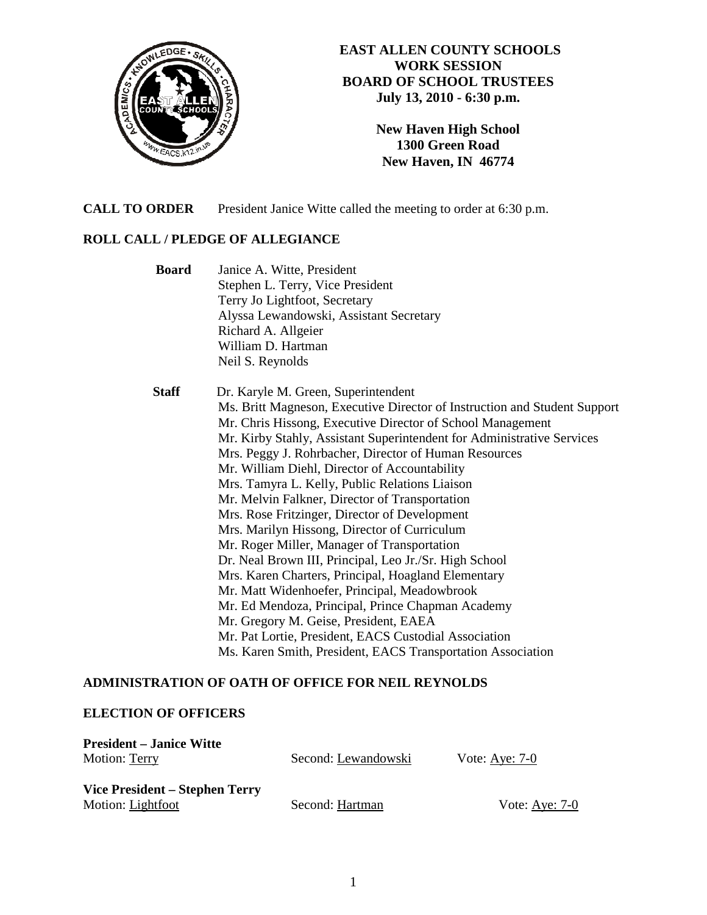

## **EAST ALLEN COUNTY SCHOOLS WORK SESSION BOARD OF SCHOOL TRUSTEES July 13, 2010 - 6:30 p.m.**

**New Haven High School 1300 Green Road New Haven, IN 46774**

**CALL TO ORDER** President Janice Witte called the meeting to order at 6:30 p.m.

### **ROLL CALL / PLEDGE OF ALLEGIANCE**

 **Board** Janice A. Witte, President Stephen L. Terry, Vice President Terry Jo Lightfoot, Secretary Alyssa Lewandowski, Assistant Secretary Richard A. Allgeier William D. Hartman Neil S. Reynolds  **Staff** Dr. Karyle M. Green, Superintendent Ms. Britt Magneson, Executive Director of Instruction and Student Support Mr. Chris Hissong, Executive Director of School Management Mr. Kirby Stahly, Assistant Superintendent for Administrative Services Mrs. Peggy J. Rohrbacher, Director of Human Resources Mr. William Diehl, Director of Accountability Mrs. Tamyra L. Kelly, Public Relations Liaison Mr. Melvin Falkner, Director of Transportation Mrs. Rose Fritzinger, Director of Development Mrs. Marilyn Hissong, Director of Curriculum Mr. Roger Miller, Manager of Transportation Dr. Neal Brown III, Principal, Leo Jr./Sr. High School Mrs. Karen Charters, Principal, Hoagland Elementary Mr. Matt Widenhoefer, Principal, Meadowbrook Mr. Ed Mendoza, Principal, Prince Chapman Academy Mr. Gregory M. Geise, President, EAEA Mr. Pat Lortie, President, EACS Custodial Association Ms. Karen Smith, President, EACS Transportation Association

# **ADMINISTRATION OF OATH OF OFFICE FOR NEIL REYNOLDS**

#### **ELECTION OF OFFICERS**

| <b>President – Janice Witte</b> |                     |                  |
|---------------------------------|---------------------|------------------|
| <b>Motion: Terry</b>            | Second: Lewandowski | Vote: Aye: $7-0$ |
| Vice President – Stephen Terry  |                     |                  |
| Motion: Lightfoot               | Second: Hartman     | Vote: $Aye: 7-0$ |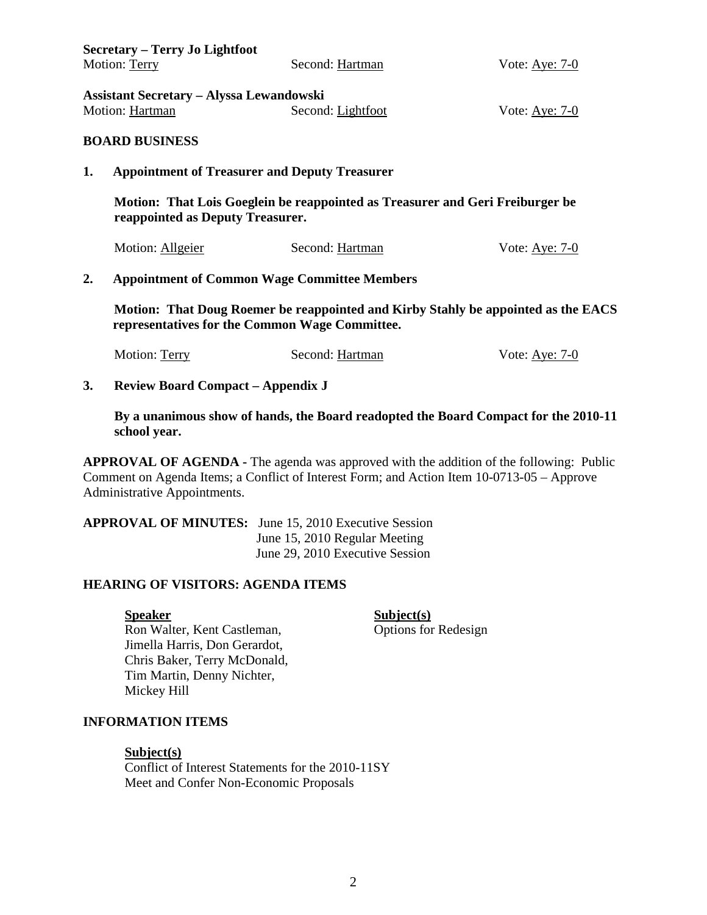|                                                                                                                                     | <b>Secretary – Terry Jo Lightfoot</b>                                                                             |                   |                  |  |  |
|-------------------------------------------------------------------------------------------------------------------------------------|-------------------------------------------------------------------------------------------------------------------|-------------------|------------------|--|--|
|                                                                                                                                     | Motion: Terry                                                                                                     | Second: Hartman   | Vote: Aye: 7-0   |  |  |
|                                                                                                                                     | <b>Assistant Secretary – Alyssa Lewandowski</b><br>Motion: Hartman<br><b>BOARD BUSINESS</b>                       | Second: Lightfoot | Vote: $Aye: 7-0$ |  |  |
|                                                                                                                                     |                                                                                                                   |                   |                  |  |  |
| 1.                                                                                                                                  | <b>Appointment of Treasurer and Deputy Treasurer</b>                                                              |                   |                  |  |  |
|                                                                                                                                     | Motion: That Lois Goeglein be reappointed as Treasurer and Geri Freiburger be<br>reappointed as Deputy Treasurer. |                   |                  |  |  |
|                                                                                                                                     | Motion: Allgeier                                                                                                  | Second: Hartman   | Vote: $Aye: 7-0$ |  |  |
| 2.                                                                                                                                  | <b>Appointment of Common Wage Committee Members</b>                                                               |                   |                  |  |  |
| Motion: That Doug Roemer be reappointed and Kirby Stahly be appointed as the EACS<br>representatives for the Common Wage Committee. |                                                                                                                   |                   |                  |  |  |

| Motion: Terry | Second: Hartman | Vote: Aye: $7-0$ |
|---------------|-----------------|------------------|
|               |                 |                  |

### **3. Review Board Compact – Appendix J**

 **By a unanimous show of hands, the Board readopted the Board Compact for the 2010-11 school year.** 

**APPROVAL OF AGENDA - The agenda was approved with the addition of the following: Public** Comment on Agenda Items; a Conflict of Interest Form; and Action Item 10-0713-05 – Approve Administrative Appointments.

# **APPROVAL OF MINUTES:** June 15, 2010 Executive Session June 15, 2010 Regular Meeting June 29, 2010 Executive Session

### **HEARING OF VISITORS: AGENDA ITEMS**

Ron Walter, Kent Castleman, Options for Redesign Jimella Harris, Don Gerardot, Chris Baker, Terry McDonald, Tim Martin, Denny Nichter, Mickey Hill

**Speaker** Subject(s)

# **INFORMATION ITEMS**

#### **Subject(s)**

Conflict of Interest Statements for the 2010-11SY Meet and Confer Non-Economic Proposals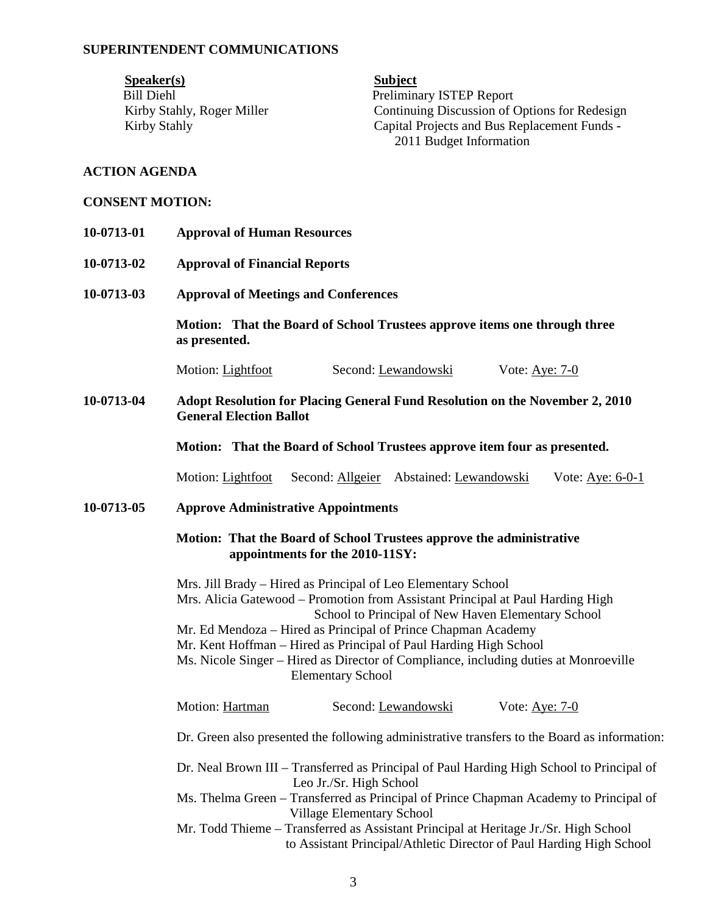#### **SUPERINTENDENT COMMUNICATIONS**

Speaker(s) Subject Bill Diehl Preliminary ISTEP Report

Kirby Stahly, Roger Miller Continuing Discussion of Options for Redesign Kirby Stahly **Capital Projects and Bus Replacement Funds** -2011 Budget Information

#### **ACTION AGENDA**

#### **CONSENT MOTION:**

- **10-0713-01 Approval of Human Resources**
- **10-0713-02 Approval of Financial Reports**
- **10-0713-03 Approval of Meetings and Conferences**

 **Motion: That the Board of School Trustees approve items one through three as presented.** 

Motion: Lightfoot Second: Lewandowski Vote: Aye: 7-0

**10-0713-04 Adopt Resolution for Placing General Fund Resolution on the November 2, 2010 General Election Ballot**

 **Motion: That the Board of School Trustees approve item four as presented.** 

Motion: Lightfoot Second: Allgeier Abstained: Lewandowski Vote: Aye: 6-0-1

**10-0713-05 Approve Administrative Appointments** 

#### **Motion: That the Board of School Trustees approve the administrative appointments for the 2010-11SY:**

Mrs. Jill Brady – Hired as Principal of Leo Elementary School Mrs. Alicia Gatewood – Promotion from Assistant Principal at Paul Harding High School to Principal of New Haven Elementary School Mr. Ed Mendoza – Hired as Principal of Prince Chapman Academy Mr. Kent Hoffman – Hired as Principal of Paul Harding High School Ms. Nicole Singer – Hired as Director of Compliance, including duties at Monroeville Elementary School Motion: Hartman Second: Lewandowski Vote: Aye: 7-0 Dr. Green also presented the following administrative transfers to the Board as information: Dr. Neal Brown III – Transferred as Principal of Paul Harding High School to Principal of Leo Jr./Sr. High School Ms. Thelma Green – Transferred as Principal of Prince Chapman Academy to Principal of Village Elementary School

Mr. Todd Thieme – Transferred as Assistant Principal at Heritage Jr./Sr. High School to Assistant Principal/Athletic Director of Paul Harding High School